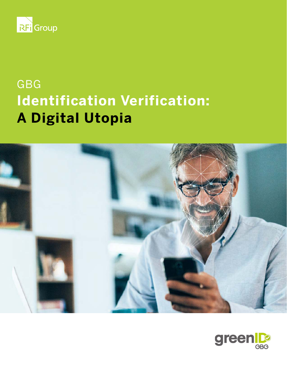

# GBG **Identification Verification: A Digital Utopia**



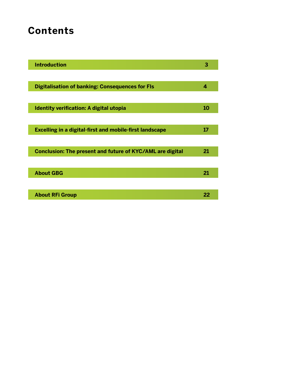# **Contents**

| <b>Introduction</b>                                              | З  |
|------------------------------------------------------------------|----|
|                                                                  |    |
| <b>Digitalisation of banking: Consequences for FIs</b>           | 4  |
|                                                                  |    |
| Identity verification: A digital utopia                          | 10 |
|                                                                  |    |
| <b>Excelling in a digital-first and mobile-first landscape</b>   | 17 |
|                                                                  |    |
| <b>Conclusion: The present and future of KYC/AML are digital</b> | 21 |
|                                                                  |    |
| <b>About GBG</b>                                                 | 21 |
|                                                                  |    |
| <b>About RFi Group</b>                                           | 22 |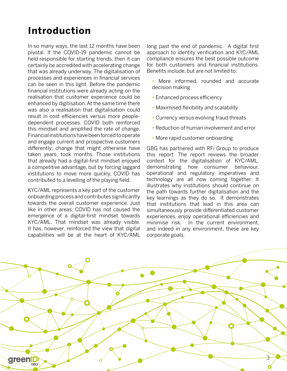# <span id="page-2-0"></span>**Introduction**

In so many ways, the last 12 months have been pivotal. If the COVID-19 pandemic cannot be held responsible for starting trends, then it can certainly be accredited with accelerating change that was already underway. The digitalisation of processes and experiences in financial services can be seen in this light. Before the pandemic financial institutions were already acting on the realisation that customer experience could be enhanced by digitisation. At the same time there was also a realisation that digitalisation could result in cost efficiencies versus more peopledependent processes. COVID both reinforced this mindset and amplified the rate of change. Financial institutions have been forced to operate and engage current and prospective customers differently; change that might otherwise have taken years, took months. Those institutions that already had a digital-first mindset enjoyed a competitive advantage, but by forcing laggard institutions to move more quickly, COVID has contributed to a levelling of the playing field.

KYC/AML represents a key part of the customer onboarding process and contributes significantly towards the overall customer experience. Just like in other areas, COVID has not caused the emergence of a digital-first mindset towards KYC/AML. That mindset was already visible. It has, however, reinforced the view that digital capabilities will be at the heart of KYC/AML long past the end of pandemic. A digital first approach to identity verification and KYC/AML compliance ensures the best possible outcome for both customers and financial institutions. Benefits include, but are not limited to:

- **•** More informed, rounded and accurate decision making
- **•** Enhanced process efficiency
- **•** Maximised flexibility and scalability
- Currency versus evolving fraud threats
- **•** Reduction of human involvement and error
- **•** More rapid customer onboarding

GBG has partnered with RFi Group to produce this report. The report reviews the broader context for the digitalisation of KYC/AML, demonstrating how consumer behaviour, operational and regulatory imperatives and technology are all now coming together. It illustrates why institutions should continue on the path towards further digitalisation and the key learnings as they do so. It demonstrates that institutions that lead in this area can simultaneously provide differentiated customer experiences, enjoy operational efficiencies and minimise risk. In the current environment, and indeed in any environment, these are key corporate goals.

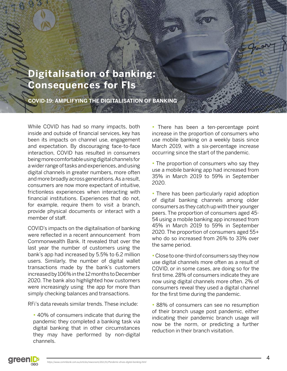# <span id="page-3-0"></span>**Digitalisation of banking: Consequences for FIs**

**COVID-19: AMPLIFYING THE DIGITALISATION OF BANKING**

While COVID has had so many impacts, both inside and outside of financial services, key has been its impacts on channel use, engagement and expectation. By discouraging face-to-face interaction, COVID has resulted in consumers being more comfortable using digital channels for a wider range of tasks and experiences, and using digital channels in greater numbers, more often and more broadly across generations. As a result, consumers are now more expectant of intuitive, frictionless experiences when interacting with financial institutions. Experiences that do not, for example, require them to visit a branch, provide physical documents or interact with a member of staff.

COVID's impacts on the digitalisation of banking were reflected in a recent announcement from Commonwealth Bank. It revealed that over the last year the number of customers using the bank's app had increased by 5.5% to 6.2 million users. Similarly, the number of digital wallet transactions made by the bank's customers increased by 106% in the 12 months to December 2020. The bank also highlighted how customers were increasingly using the app for more than simply checking balances and transactions.

RFi's data reveals similar trends. These include:

**•** 40% of consumers indicate that during the pandemic they completed a banking task via digital banking that in other circumstances they may have performed by non-digital channels.

**•** There has been a ten-percentage point increase in the proportion of consumers who use mobile banking on a weekly basis since March 2019, with a six-percentage increase occurring since the start of the pandemic.

**•** The proportion of consumers who say they use a mobile banking app had increased from 35% in March 2019 to 59% in September 2020.

**•** There has been particularly rapid adoption of digital banking channels among older consumers as they catch up with their younger peers. The proportion of consumers aged 45- 54 using a mobile banking app increased from 45% in March 2019 to 59% in September 2020. The proportion of consumers aged 55+ who do so increased from 26% to 33% over the same period.

**•** Close to one-third of consumers say they now use digital channels more often as a result of COVID, or in some cases, are doing so for the first time. 28% of consumers indicate they are now using digital channels more often. 2% of consumers reveal they used a digital channel for the first time during the pandemic.

**•** 88% of consumers can see no resumption of their branch usage post pandemic, either indicating their pandemic branch usage will now be the norm, or predicting a further reduction in their branch visitation.



 $\overline{A}$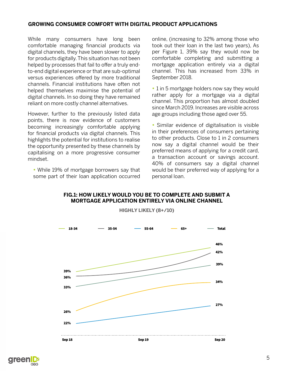#### **GROWING CONSUMER COMFORT WITH DIGITAL PRODUCT APPLICATIONS**

While many consumers have long been comfortable managing financial products via digital channels, they have been slower to apply for products digitally. This situation has not been helped by processes that fail to offer a truly endto-end digital experience or that are sub-optimal versus experiences offered by more traditional channels. Financial institutions have often not helped themselves maximise the potential of digital channels. In so doing they have remained reliant on more costly channel alternatives.

However, further to the previously listed data points, there is now evidence of customers becoming increasingly comfortable applying for financial products via digital channels. This highlights the potential for institutions to realise the opportunity presented by these channels by capitalising on a more progressive consumer mindset.

**•** While 19% of mortgage borrowers say that some part of their loan application occurred online, (increasing to 32% among those who took out their loan in the last two years), As per Figure 1, 39% say they would now be comfortable completing and submitting a mortgage application entirely via a digital channel. This has increased from 33% in September 2018.

**•** 1 in 5 mortgage holders now say they would rather apply for a mortgage via a digital channel. This proportion has almost doubled since March 2019. Increases are visible across age groups including those aged over 55.

**•** Similar evidence of digitalisation is visible in their preferences of consumers pertaining to other products. Close to 1 in 2 consumers now say a digital channel would be their preferred means of applying for a credit card, a transaction account or savings account. 40% of consumers say a digital channel would be their preferred way of applying for a personal loan.



### **FIG.1: HOW LIKELY WOULD YOU BE TO COMPLETE AND SUBMIT A MORTGAGE APPLICATION ENTIRELY VIA ONLINE CHANNEL**

**HIGHLY LIKELY (8+/10)**

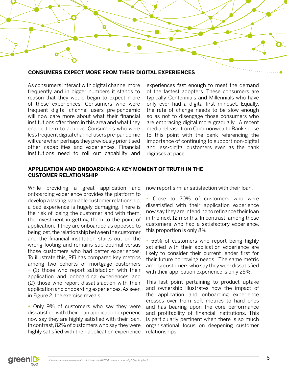

#### **CONSUMERS EXPECT MORE FROM THEIR DIGITAL EXPERIENCES**

As consumers interact with digital channel more frequently and in bigger numbers it stands to reason that they would begin to expect more of these experiences. Consumers who were frequent digital channel users pre-pandemic will now care more about what their financial institutions offer them in this area and what they enable them to achieve. Consumers who were less frequent digital channel users pre-pandemic will care when perhaps they previously prioritised other capabilities and experiences. Financial institutions need to roll out capability and

experiences fast enough to meet the demand of the fastest adopters. These consumers are typically Centennials and Millennials who have only ever had a digital-first mindset. Equally, the rate of change needs to be slow enough so as not to disengage those consumers who are embracing digital more gradually. A recent media release from Commonwealth Bank spoke to this point with the bank referencing the importance of continuing to support non-digital and less-digital customers even as the bank digitises at pace.

#### **APPLICATION AND ONBOARDING: A KEY MOMENT OF TRUTH IN THE CUSTOMER RELATIONSHIP**

While providing a great application and onboarding experience provides the platform to develop a lasting, valuable customer relationship, a bad experience is hugely damaging. There is the risk of losing the customer and with them, the investment in getting them to the point of application. If they are onboarded as opposed to being lost, the relationship between the customer and the financial institution starts out on the wrong footing and remains sub-optimal versus those customers who had better experiences. To illustrate this, RFi has compared key metrics among two cohorts of mortgage customers – (1) those who report satisfaction with their application and onboarding experiences and (2) those who report dissatisfaction with their application and onboarding experiences. As seen in Figure 2, the exercise reveals:

**•** Only 9% of customers who say they were dissatisfied with their loan application experienc now say they are highly satisfied with their loan. In contrast, 82% of customers who say they were highly satisfied with their application experience now report similar satisfaction with their loan.

**•** Close to 20% of customers who were dissatisfied with their application experience now say they are intending to refinance their loan in the next 12 months. In contrast, among those customers who had a satisfactory experience, this proportion is only 8%.

**•** 55% of customers who report being highly satisfied with their application experience are likely to consider their current lender first for their future borrowing needs. The same metric among customers who say they were dissatisfied with their application experience is only 25%.

This last point pertaining to product uptake and ownership illustrates how the impact of the application and onboarding experience crosses over from soft metrics to hard ones and has bearing upon the core performance and profitability of financial institutions. This is particularly pertinent when there is so much organisational focus on deepening customer relationships.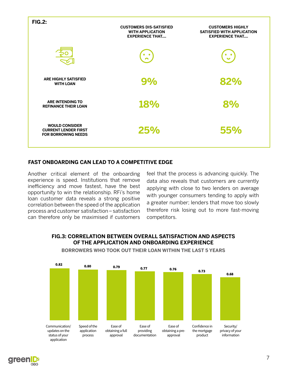

### **FAST ONBOARDING CAN LEAD TO A COMPETITIVE EDGE**

Another critical element of the onboarding experience is speed. Institutions that remove inefficiency and move fastest, have the best opportunity to win the relationship. RFi's home loan customer data reveals a strong positive correlation between the speed of the application process and customer satisfaction – satisfaction can therefore only be maximised if customers feel that the process is advancing quickly. The data also reveals that customers are currently applying with close to two lenders on average with younger consumers tending to apply with a greater number; lenders that move too slowly therefore risk losing out to more fast-moving competitors.



### **FIG.3: CORRELATION BETWEEN OVERALL SATISFACTION AND ASPECTS OF THE APPLICATION AND ONBOARDING EXPERIENCE**

**greer** 

**BORROWERS WHO TOOK OUT THEIR LOAN WITHIN THE LAST 5 YEARS**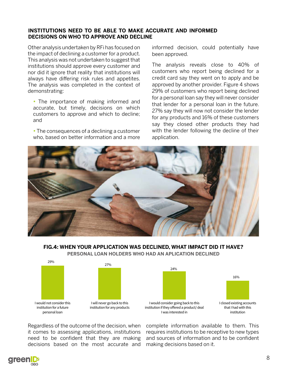#### **INSTITUTIONS NEED TO BE ABLE TO MAKE ACCURATE AND INFORMED DECISIONS ON WHO TO APPROVE AND DECLINE**

Other analysis undertaken by RFi has focused on the impact of declining a customer for a product. This analysis was not undertaken to suggest that institutions should approve every customer and nor did it ignore that reality that institutions will always have differing risk rules and appetites. The analysis was completed in the context of demonstrating:

**•** The importance of making informed and accurate, but timely, decisions on which customers to approve and which to decline; and

**•** The consequences of a declining a customer who, based on better information and a more informed decision, could potentially have been approved.

The analysis reveals close to 40% of customers who report being declined for a credit card say they went on to apply and be approved by another provider. Figure 4 shows 29% of customers who report being declined for a personal loan say they will never consider that lender for a personal loan in the future. 27% say they will now not consider the lender for any products and 16% of these customers say they closed other products they had with the lender following the decline of their application.



#### **FIG.4: WHEN YOUR APPLICATION WAS DECLINED, WHAT IMPACT DID IT HAVE?**

**PERSONAL LOAN HOLDERS WHO HAD AN APLICATION DECLINED**





Regardless of the outcome of the decision, when it comes to assessing applications, institutions need to be confident that they are making decisions based on the most accurate and complete information available to them. This requires institutions to be receptive to new types and sources of information and to be confident making decisions based on it.

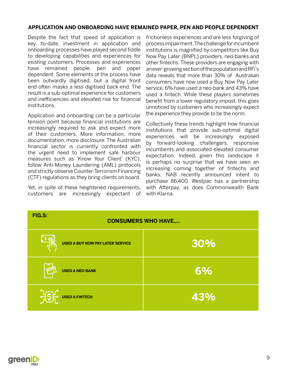### **APPLICATION AND ONBOARDING HAVE REMAINED PAPER, PEN AND PEOPLE DEPENDENT**

Despite the fact that speed of application is key, to-date, investment in application and onboarding processes have played second fiddle to developing capabilities and experiences for existing customers. Processes and experiences have remained people, pen and paper dependent. Some elements of the process have been outwardly digitised, but a digital front end often masks a less digitised back-end. The result is a sub-optimal experience for customers and inefficiencies and elevated risk for financial institutions.

Application and onboarding can be a particular tension point because financial institutions are increasingly required to ask and expect more of their customers. More information, more documentation, more disclosure. The Australian financial sector is currently confronted with the urgent need to implement safe harbour measures such as 'Know Your Client' (KYC), follow Anti-Money Laundering (AML) protocols and strictly observe Counter-Terrorism Financing (CTF) regulations as they bring clients on board.

Yet, in spite of these heightened requirements, customers are increasingly expectant of frictionless experiences and are less forgiving of process impairment. The challenge for incumbent institutions is magnified by competitors like Buy Now Pay Later (BNPL) providers, neo-banks and other fintechs. These providers are engaging with an ever-growing section of the population and RFi's data reveals that more than 30% of Australian consumers have now used a Buy Now Pay Later service, 6% have used a neo-bank and 43% have used a fintech. While these players sometimes benefit from a lower regulatory impost, this goes unnoticed by customers who increasingly expect the experience they provide to be the norm.

Collectively these trends highlight how financial institutions that provide sub-optimal digital experiences will be increasingly exposed by forward-looking challengers, responsive incumbents and associated elevated consumer expectation. Indeed, given this landscape it is perhaps no surprise that we have seen an increasing coming together of fintechs and banks. NAB recently announced intent to purchase 86,400. Westpac has a partnership with Afterpay, as does Commonwealth Bank with Klarna.

| <b>FIG.5:</b> | <b>CONSUMERS WHO HAVE</b>               |     |
|---------------|-----------------------------------------|-----|
|               | <b>USED A BUY NOW PAY LATER SERVICE</b> | 30% |
|               | <b>USED A NEO-BANK</b>                  | 6%  |
|               | <b>HELE</b> USED A FINTECH              | 43% |

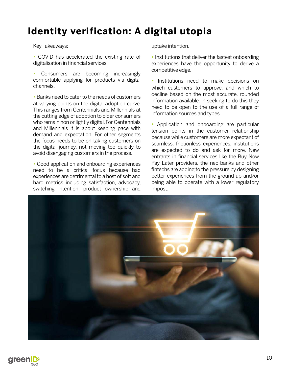# <span id="page-9-0"></span>**Identity verification: A digital utopia**

Key Takeaways:

**•** COVID has accelerated the existing rate of digitalisation in financial services.

**•** Consumers are becoming increasingly comfortable applying for products via digital channels.

**•** Banks need to cater to the needs of customers at varying points on the digital adoption curve. This ranges from Centennials and Millennials at the cutting edge of adoption to older consumers who remain non or lightly digital. For Centennials and Millennials it is about keeping pace with demand and expectation. For other segments the focus needs to be on taking customers on the digital journey, not moving too quickly to avoid disengaging customers in the process.

**•** Good application and onboarding experiences need to be a critical focus because bad experiences are detrimental to a host of soft and hard metrics including satisfaction, advocacy, switching intention, product ownership and uptake intention.

**•** Institutions that deliver the fastest onboarding experiences have the opportunity to derive a competitive edge.

**•** Institutions need to make decisions on which customers to approve, and which to decline based on the most accurate, rounded information available. In seeking to do this they need to be open to the use of a full range of information sources and types.

**•** Application and onboarding are particular tension points in the customer relationship because while customers are more expectant of seamless, frictionless experiences, institutions are expected to do and ask for more. New entrants in financial services like the Buy Now Pay Later providers, the neo-banks and other fintechs are adding to the pressure by designing better experiences from the ground up and/or being able to operate with a lower regulatory impost.



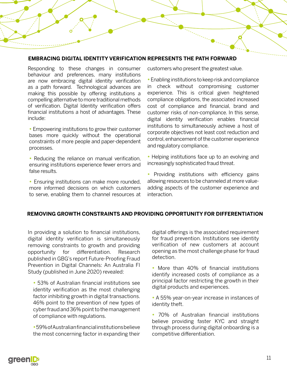#### **EMBRACING DIGITAL IDENTITY VERIFICATION REPRESENTS THE PATH FORWARD**

Responding to these changes in consumer behaviour and preferences, many institutions are now embracing digital identity verification as a path forward. Technological advances are making this possible by offering institutions a compelling alternative to more traditional methods of verification. Digital Identity verification offers financial institutions a host of advantages. These include:

**•** Empowering institutions to grow their customer bases more quickly without the operational constraints of more people and paper-dependent processes.

**•** Reducing the reliance on manual verification, ensuring institutions experience fewer errors and false results.

**•** Ensuring institutions can make more rounded, more informed decisions on which customers to serve, enabling them to channel resources at customers who present the greatest value.

**•** Enabling institutions to keep risk and compliance in check without compromising customer experience. This is critical given heightened compliance obligations, the associated increased cost of compliance and financial, brand and customer risks of non-compliance. In this sense, digital identity verification enables financial institutions to simultaneously achieve a host of corporate objectives not least cost reduction and control, enhancement of the customer experience and regulatory compliance.

**•** Helping institutions face up to an evolving and increasingly sophisticated fraud threat.

• Providing institutions with efficiency gains allowing resources to be channeled at more valueadding aspects of the customer experience and interaction.

### **REMOVING GROWTH CONSTRAINTS AND PROVIDING OPPORTUNITY FOR DIFFERENTIATION**

In providing a solution to financial institutions, digital identity verification is simultaneously removing constraints to growth and providing opportunity for differentiation. Research published in GBG's report Future-Proofing Fraud Prevention in Digital Channels: An Australia FI Study (published in June 2020) revealed:

**•** 53% of Australian financial institutions see identity verification as the most challenging factor inhibiting growth in digital transactions. 46% point to the prevention of new types of cyber fraud and 36% point to the management of compliance with regulations.

**•**59% of Australian financial institutions believe the most concerning factor in expanding their digital offerings is the associated requirement for fraud prevention. Institutions see identity verification of new customers at account opening as the most challenge phase for fraud detection.

**•** More than 40% of financial institutions identify increased costs of compliance as a principal factor restricting the growth in their digital products and experiences.

**•** A 55% year-on-year increase in instances of identity theft.

**•** 70% of Australian financial institutions believe providing faster KYC and straight through process during digital onboarding is a competitive differentiation.

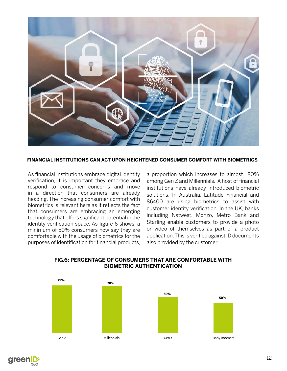

**FINANCIAL INSTITUTIONS CAN ACT UPON HEIGHTENED CONSUMER COMFORT WITH BIOMETRICS**

As financial institutions embrace digital identity verification, it is important they embrace and respond to consumer concerns and move in a direction that consumers are already heading. The increasing consumer comfort with biometrics is relevant here as it reflects the fact that consumers are embracing an emerging technology that offers significant potential in the identity verification space. As figure 6 shows, a minimum of 50% consumers now say they are comfortable with the usage of biometrics for the purposes of identification for financial products, a proportion which increases to almost 80% among Gen Z and Millennials. A host of financial institutions have already introduced biometric solutions. In Australia, Latitude Financial and 86400 are using biometrics to assist with customer identity verification. In the UK, banks including Natwest, Monzo, Metro Bank and Starling enable customers to provide a photo or video of themselves as part of a product application. This is verified against ID documents also provided by the customer.



**FIG.6: PERCENTAGE OF CONSUMERS THAT ARE COMFORTABLE WITH BIOMETRIC AUTHENTICATION**

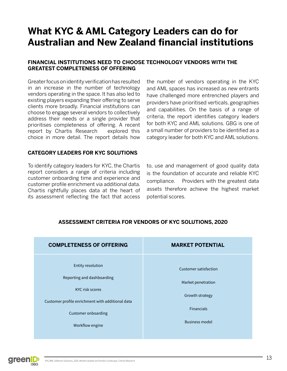# **What KYC & AML Category Leaders can do for Australian and New Zealand financial institutions**

### **FINANCIAL INSTITUTIONS NEED TO CHOOSE TECHNOLOGY VENDORS WITH THE GREATEST COMPLETENESS OF OFFERING**

Greater focus on identity verification has resulted in an increase in the number of technology vendors operating in the space. It has also led to existing players expanding their offering to serve clients more broadly. Financial institutions can choose to engage several vendors to collectively address their needs or a single provider that prioritises completeness of offering. A recent report by Chartis Research explored this choice in more detail. The report details how

the number of vendors operating in the KYC and AML spaces has increased as new entrants have challenged more entrenched players and providers have prioritised verticals, geographies and capabilities. On the basis of a range of criteria, the report identifies category leaders for both KYC and AML solutions. GBG is one of a small number of providers to be identified as a category leader for both KYC and AML solutions.

### **CATEGORY LEADERS FOR KYC SOLUTIONS**

To identify category leaders for KYC, the Chartis report considers a range of criteria including customer onboarding time and experience and customer profile enrichment via additional data. Chartis rightfully places data at the heart of its assessment reflecting the fact that access

to, use and management of good quality data is the foundation of accurate and reliable KYC compliance. Providers with the greatest data assets therefore achieve the highest market potential scores.



### **ASSESSMENT CRITERIA FOR VENDORS OF KYC SOLUTIONS, 2020**

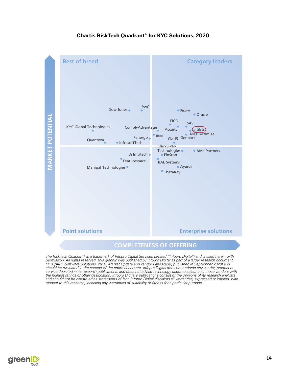



The RiskTech Quadrant® is a trademark of Infopro Digital Services Limited ('Infopro Digital') and is used herein with permission. All rights reserved. This graphic was published by Infopro Digital as part of a larger research document ('KYC/AML Software Solutions, 2020: Market Update and Vendor Landscape', published in September 2020) and should be evaluated in the context of the entire document. Infopro Digital does not endorse any vendor, product or service depicted in its research publications, and does not advise technology users to select only those vendors with the highest ratings or other designation. Infopro Digital's publications consist of the opinions of its research analysts and should not be construed as statements of fact. Infopro Digital disclaims all warranties, expressed or implied, with respect to this research, including any warranties of suitability or fitness for a particular purpose.

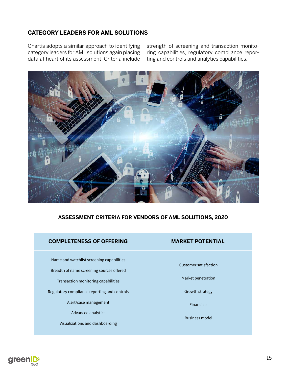# **CATEGORY LEADERS FOR AML SOLUTIONS**

Chartis adopts a similar approach to identifying category leaders for AML solutions again placing data at heart of its assessment. Criteria include strength of screening and transaction monitoring capabilities, regulatory compliance reporting and controls and analytics capabilities.



### **ASSESSMENT CRITERIA FOR VENDORS OF AML SOLUTIONS, 2020**

| <b>COMPLETENESS OF OFFERING</b>                                                                                                                                                                                                                                 | <b>MARKET POTENTIAL</b>                                                                                      |
|-----------------------------------------------------------------------------------------------------------------------------------------------------------------------------------------------------------------------------------------------------------------|--------------------------------------------------------------------------------------------------------------|
| Name and watchlist screening capabilities<br>Breadth of name screening sources offered<br>Transaction monitoring capabilities<br>Regulatory compliance reporting and controls<br>Alert/case management<br>Advanced analytics<br>Visualizations and dashboarding | Customer satisfaction<br>Market penetration<br>Growth strategy<br><b>Financials</b><br><b>Business model</b> |

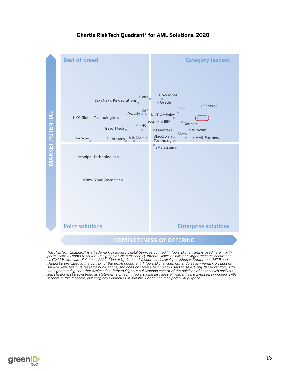

### **Chartis RiskTech Quadrant® for AML Solutions, 2020**



The RiskTech Quadrant® is a trademark of Infopro Digital Services Limited ('Infopro Digital') and is used herein with<br>permission. All rights reserved. This graphic was published by Infopro Digital as part of a larger resea service depicted in its research publications, and does not advise technology users to select only those vendors with<br>the highest ratings or other designation. Infopro Digital's publications consist of the opinions of its

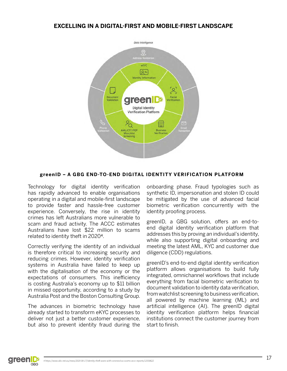## <span id="page-16-0"></span>**EXCELLING IN A DIGITAL-FIRST AND MOBILE-FIRST LANDSCAPE**



### **greenID – A GBG END-TO-END DIGITAL IDENTITY VERIFICATION PLATFORM**

Technology for digital identity verification has rapidly advanced to enable organisations operating in a digital and mobile-first landscape to provide faster and hassle-free customer experience. Conversely, the rise in identity crimes has left Australians more vulnerable to scam and fraud activity. The ACCC estimates Australians have lost \$22 million to scams related to identity theft in 20204.

Correctly verifying the identity of an individual is therefore critical to increasing security and reducing crimes. However, identity verification systems in Australia have failed to keep up with the digitalisation of the economy or the expectations of consumers. This inefficiency is costing Australia's economy up to \$11 billion in missed opportunity, according to a study by Australia Post and the Boston Consulting Group.

The advances in biometric technology have already started to transform eKYC processes to deliver not just a better customer experience, but also to prevent identity fraud during the onboarding phase. Fraud typologies such as synthetic ID, impersonation and stolen ID could be mitigated by the use of advanced facial biometric verification concurrently with the identity proofing process.

greenID, a GBG solution, offers an end-toend digital identity verification platform that addresses this by proving an individual's identity, while also supporting digital onboarding and meeting the latest AML, KYC and customer due diligence (CDD) regulations.

greenID's end-to-end digital identity verification platform allows organisations to build fully integrated, omnichannel workflows that include everything from facial biometric verification to document validation to identity data verification, from watchlist screening to business verification, all powered by machine learning (ML) and artificial intelligence (AI). The greenID digital identity verification platform helps financial institutions connect the customer journey from start to finish.

**green D** GRG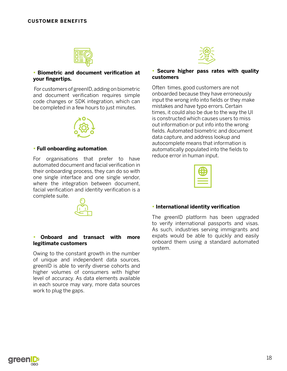

#### **• Biometric and document verification at your fingertips.**

 For customers of greenID, adding on biometric and document verification requires simple code changes or SDK integration, which can be completed in a few hours to just minutes.



#### **• Full onboarding automation**.

For organisations that prefer to have automated document and facial verification in their onboarding process, they can do so with one single interface and one single vendor, where the integration between document, facial verification and identity verification is a complete suite.



#### **• Onboard and transact with more legitimate customers**

Owing to the constant growth in the number of unique and independent data sources, greenID is able to verify diverse cohorts and higher volumes of consumers with higher level of accuracy. As data elements available in each source may vary, more data sources work to plug the gaps.



#### **• Secure higher pass rates with quality customers**

Often times, good customers are not onboarded because they have erroneously input the wrong info into fields or they make mistakes and have typo errors. Certain times, it could also be due to the way the UI is constructed which causes users to miss out information or put info into the wrong fields. Automated biometric and document data capture, and address lookup and autocomplete means that information is automatically populated into the fields to reduce error in human input.



#### **• International identity verification**

The greenID platform has been upgraded to verify international passports and visas. As such, industries serving immigrants and expats would be able to quickly and easily onboard them using a standard automated system.

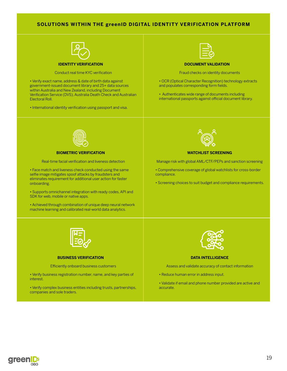#### **SOLUTIONS WITHIN THE greenID DIGITAL IDENTITY VERIFICATION PLATFORM**



Conduct real time KYC verification

• Verify exact name, address & date of birth data against government-issued document library and 25+ data sources within Australia and New Zealand, including Document Verification Service (DVS), Australia Death Check and Australian Electoral Roll.

• International identity verification using passport and visa.



#### **DOCUMENT VALIDATION**

Fraud checks on identity documents

• OCR (Optical Character Recognition) technology extracts and populates corresponding form fields.

• Authenticates wide range of documents including international passports against official document library.



#### **BIOMETRIC VERIFICATION**

Real-time facial verification and liveness detection

• Face match and liveness check conducted using the same selfie image mitigates spoof attacks by fraudsters and eliminates requirement for additional user action for faster onboarding.

• Supports omnichannel integration with ready codes, API and SDK for web, mobile or native apps.

• Achieved through combination of unique deep neural network machine learning and calibrated real-world data analytics.



#### **WATCHLIST SCREENING**

Manage risk with global AML/CTF/PEPs and sanction screening

• Comprehensive coverage of global watchlists for cross-border compliance.

• Screening choices to suit budget and compliance requirements.



#### **BUSINESS VERIFICATION**

Efficiently onboard business customers

• Verify business registration number, name, and key parties of interest.

• Verify complex business entities including trusts, partnerships, companies and sole traders.



#### **DATA INTELLIGENCE**

Assess and validate accuracy of contact information

- Reduce human error in address input.
- Validate if email and phone number provided are active and accurate.

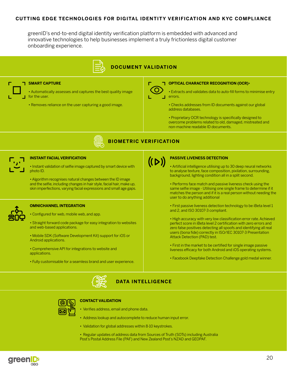#### **CUTTING EDGE TECHNOLOGIES FOR DIGITAL IDENTITY VERIFICATION AND KYC COMPLIANCE**

greenID's end-to-end digital identity verification platform is embedded with advanced and innovative technologies to help businesses implement a truly frictionless digital customer onboarding experience.



### **DOCUMENT VALIDATION**

**BIOMETRIC VERIFICATION**

### **SMART CAPTURE**

• Automatically assesses and captures the best quality image for the user.

• Removes reliance on the user capturing a good image.



#### **OPTICAL CHARACTER RECOGNITION (OCR)**•

• Extracts and validates data to auto-fill forms to minimise entry errors.

• Checks addresses from ID documents against our global address databases.

• Proprietary OCR technology is specifically designed to overcome problems related to old, damaged, mistreated and non-machine readable ID documents.



#### **INSTANT FACIAL VERIFICATION**

• Instant validation of selfie image captured by smart device with photo ID.

• Algorithm recognises natural changes between the ID image and the selfie, including changes in hair style, facial hair, make up, skin imperfections, varying facial expressions and small age gaps.

#### **OMNICHANNEL INTEGRATION**

• Configured for web, mobile web, and app.

• Straight forward code package for easy integration to websites and web-based applications.

• Mobile SDK (Software Development Kit) support for iOS or Android applications.

• Comprehensive API for integrations to website and applications.

• Fully customisable for a seamless brand and user experience.



#### **PASSIVE LIVENESS DETECTION**

• Artificial intelligence utilising up to 30 deep neural networks to analyse texture, face composition, pixilation, surrounding, background, lighting condition all in a split second.

• Performs face match and passive liveness check using the same selfie image - Utilising one single frame to determine if it matches the person and if it is a real person without needing the user to do anything additional

• First passive liveness detection technology to be iBeta level 1 and 2, and ISO 30107-3 compliant.

• High accuracy with very low classification error rate. Achieved perfect score in iBeta level 2 certification with zero errors and zero false positives detecting all spoofs and identifying all real users (bona fide) correctly in ISO/IEC 30107-3 Presentation Attack Detection (PAD) test.

• First in the market to be certified for single image passive liveness efficacy for both Android and iOS operating systems.

• Facebook Deepfake Detection Challenge gold medal winner.





#### **CONTACT VALIDATION**

• Verifies address, email and phone data.

- Address lookup and autocomplete to reduce human input error.
- Validation for global addresses within 8-10 keystrokes.
- Regular updates of address data from Sources of Truth (SOTs) including Australia Post's Postal Address File (PAF) and New Zealand Post's NZAD and GEOPAF.

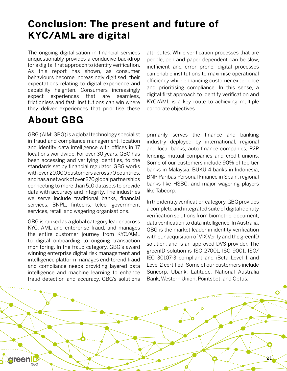# <span id="page-20-0"></span>**Conclusion: The present and future of KYC/AML are digital**

The ongoing digitalisation in financial services unquestionably provides a conducive backdrop for a digital first approach to identify verification. As this report has shown, as consumer behaviours become increasingly digitised, their expectations relating to digital experience and capability heighten. Consumers increasingly expect experiences that are seamless, frictionless and fast. Institutions can win where they deliver experiences that prioritise these

# **About GBG**

GBG (AIM: GBG) is a global technology specialist in fraud and compliance management, location and identity data intelligence with offices in 17 locations worldwide. For over 30 years, GBG has been accessing and verifying identities, to the standards set by financial regulator. GBG works with over 20,000 customers across 70 countries, and has a network of over 270 global partnerships connecting to more than 510 datasets to provide data with accuracy and integrity. The industries we serve include traditional banks, financial services, BNPL, fintechs, telco, government services, retail, and wagering organisations.

GBG is ranked as a global category leader across KYC, AML and enterprise fraud, and manages the entire customer journey from KYC/AML to digital onboarding to ongoing transaction monitoring. In the fraud category, GBG's award winning enterprise digital risk management and intelligence platform manages end-to-end fraud and compliance needs providing layered data intelligence and machine learning to enhance fraud detection and accuracy. GBG's solutions attributes. While verification processes that are people, pen and paper dependent can be slow, inefficient and error prone, digital processes can enable institutions to maximise operational efficiency while enhancing customer experience and prioritising compliance. In this sense, a digital first approach to identify verification and KYC/AML is a key route to achieving multiple corporate objectives.

primarily serves the finance and banking industry deployed by international, regional and local banks, auto finance companies, P2P lending, mutual companies and credit unions. Some of our customers include 90% of top tier banks in Malaysia, BUKU 4 banks in Indonesia, BNP Paribas Personal Finance in Spain, regional banks like HSBC, and major wagering players like Tabcorp.

In the identity verification category, GBG provides a complete and integrated suite of digital identity verification solutions from biometric, document, data verification to data intelligence. In Australia, GBG is the market leader in identity verification with our acquisition of VIX Verify and the greenID solution, and is an approved DVS provider. The greenID solution is ISO 27001, ISO 9001, ISO/ IEC 30107-3 compliant and iBeta Level 1 and Level 2 certified. Some of our customers include Suncorp, Ubank, Latitude, National Australia Bank, Western Union, Pointsbet, and Optus.